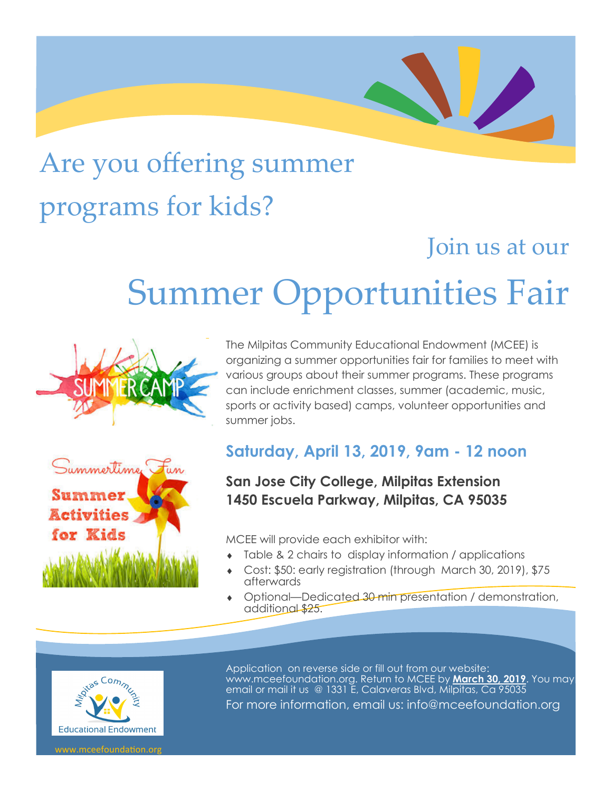## Are you offering summer programs for kids?

### Join us at our

# Summer Opportunities Fair





The Milpitas Community Educational Endowment (MCEE) is<br>organizing a summer opportunities fair for families to meet v<br>various groups about their summer programs. These program organizing a summer opportunities fair for families to meet with various groups about their summer programs. These programs can include enrichment classes, summer (academic, music, sports or activity based) camps, volunteer opportunities and summer jobs.

#### **Saturday, April 13, 2019, 9am - 12 noon**

#### **San Jose City College, Milpitas Extension 1450 Escuela Parkway, Milpitas, CA 95035**

MCEE will provide each exhibitor with:

- Table & 2 chairs to display information / applications
- Cost: \$50: early registration (through March 30, 2019), \$75 afterwards
- Optional—Dedicated 30 min presentation / demonstration, additional \$25.



Application on reverse side or fill out from our website: www.mceefoundation.org. Return to MCEE by **March 30, 2019**. You may email or mail it us @ 1331 E, Calaveras Blvd, Milpitas, Ca 95035

For more information, email us: info@mceefoundation.org

w mceefoundation on